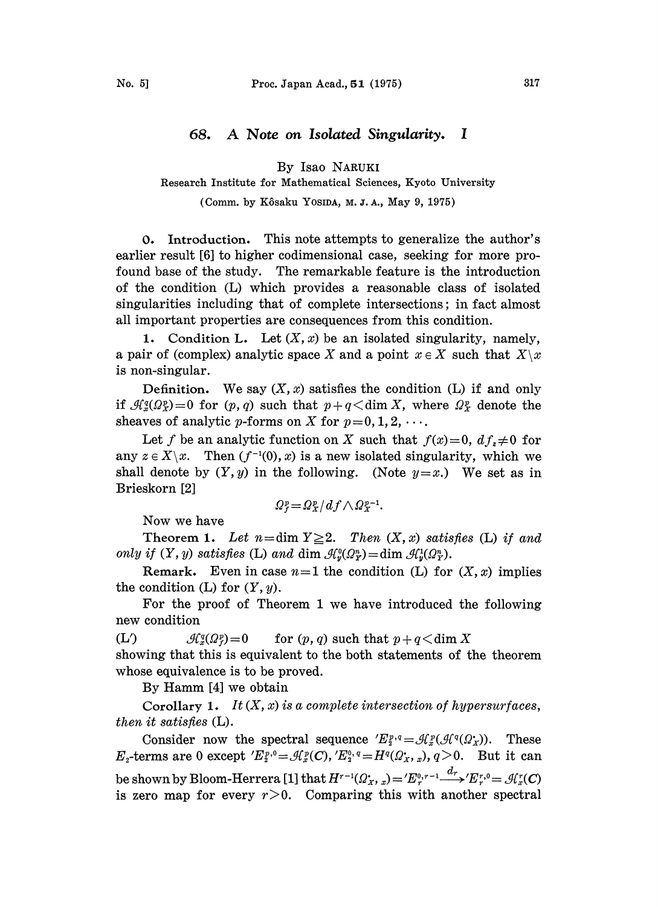## 68. A Note on Isolated Singularity. <sup>I</sup>

By Isao NARUKI

Research Institute for Mathematical Sciences, Kyoto University

(Comm. by Kôsaku YOSIDA, M.J.A., May 9, 1975)

0. Introduction. This note attempts to generalize the author's earlier result [6] to higher codimensional case, seeking for more profound base of the study. The remarkable feature is the introduction of the condition (L) which provides a reasonable class of isolated singularities including that of complete intersections; in fact almost all important properties are consequences from this condition.

1. Condition L. Let  $(X, x)$  be an isolated singularity, namely, a pair of (complex) analytic space X and a point  $x \in X$  such that  $X\setminus x$ is non-singular.

Definition. We say  $(X, x)$  satisfies the condition  $(L)$  if and only if  $\mathcal{H}_{x}^{q}(\Omega_{X}^{p})=0$  for  $(p, q)$  such that  $p+q<\dim X$ , where  $\Omega_{X}^{p}$  denote the sheaves of analytic p-forms on X for  $p=0, 1, 2, \cdots$ .

Let f be an analytic function on X such that  $f(x)=0$ ,  $df_x\neq 0$  for any  $z \in X \setminus x$ . Then  $(f^{-1}(0), x)$  is a new isolated singularity, which we shall denote by  $(Y, y)$  in the following. (Note  $y=x$ .) We set as in Brieskorn [2]

$$
\Omega_{f}^{p} = \Omega_{X}^{p} / df \wedge \Omega_{X}^{p-1}.
$$

Now we have

Theorem 1. Let  $n = \dim Y \geq 2$ . Then  $(X, x)$  satisfies (L) if and only if  $(Y, y)$  satisfies (L) and dim  $\mathcal{A}_{y}^0(\Omega_Y^n) = \dim \mathcal{A}_{y}^1(\Omega_Y^n)$ .

**Remark.** Even in case  $n=1$  the condition (L) for  $(X, x)$  implies the condition  $(L)$  for  $(Y, y)$ .

For the proof of Theorem 1 we have introduced the following new condition

(L)  $\mathcal{H}_x^q(\Omega_f^p) = 0$  for  $(p, q)$  such that  $p + q < \dim X$ 

showing that this is equivalent to the both statements of the theorem whose equivalence is to be proved.

By Hamm [4] we obtain

Corollary 1. It  $(X, x)$  is a complete intersection of hypersurfaces, then it satisfies (L).

Consider now the spectral sequence  $'E_3^{p,q} = \mathcal{H}_x^p(\mathcal{A}^q(\Omega_X))$ . These  $E_z$ -terms are 0 except  $'E_2^{p,0} = \mathcal{A}_x^{p}(C)$ ,  $'E_3^{0,q} = H^q(\Omega_x, x)$ ,  $q > 0$ . But it can be shown by Bloom-Herrera [1] that  $H^{r-1}(\Omega_X, x) = 'E^{0,r-1} \xrightarrow{d_r} 'E^{r,0} = \mathcal{H}_x^r(C)$ is zero map for every  $r>0$ . Comparing this with another spectral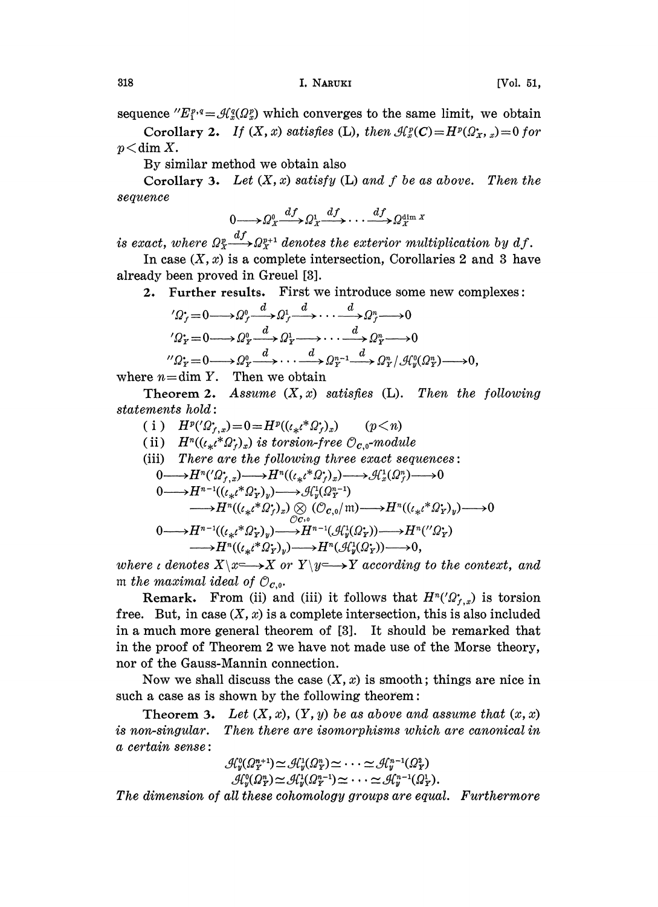sequence  $E_i^{p,q} = \mathcal{A}_{n}^{q}(\Omega_{n}^{p})$  which converges to the same limit, we obtain

Corollary 2. If  $(X, x)$  satisfies (L), then  $\mathcal{A}_x^p(C) = H^p(\Omega_X, x) = 0$  for  $p <$ dim X.

By similar method we obtain also

Corollary 3. Let  $(X, x)$  satisfy  $(L)$  and f be as above. Then the sequence

$$
0 \longrightarrow \Omega_X^0 \xrightarrow{df} \Omega_X^1 \xrightarrow{df} \cdots \xrightarrow{df} \Omega_X^{\dim X}
$$

is exact, where  $\Omega^{p-d}_{\mathcal{X}}$ ,  $\Omega^{p+1}_{\mathcal{X}}$  denotes the exterior multiplication by df.

In case  $(X, x)$  is a complete intersection, Corollaries 2 and 3 have already been proved in Greuel [3].

2. Further results. First we introduce some new complexes:

$$
{}'\Omega^{\bullet}_f = 0 \longrightarrow \Omega^0_f \xrightarrow{d} \Omega^1_f \xrightarrow{d} \cdots \xrightarrow{d} \Omega^n_f \longrightarrow 0
$$
  

$$
{}'\Omega^{\bullet}_F = 0 \longrightarrow \Omega^0_F \xrightarrow{d} \Omega^1_F \longrightarrow \cdots \xrightarrow{d} \Omega^n_F \longrightarrow 0
$$
  

$$
{}''\Omega^{\bullet}_F = 0 \longrightarrow \Omega^0_F \xrightarrow{d} \cdots \xrightarrow{d} \Omega^n_F^{-1} \xrightarrow{d} \Omega^n_F / \mathcal{H}^0_g(\Omega^n_F) \longrightarrow 0,
$$
  
then 
$$
X \longrightarrow \mathbb{R}^n
$$

where  $n=\dim Y$ . Then we obtain

Theorem 2. Assume  $(X, x)$  satisfies  $(L)$ . Then the following statements hold:

- ( i )  $H^p(Q_{r,x}^*)=0=H^p((\ell_{*}\ell^*Q_{r}^*)_x)$  (p  $\leq n$ )
- (ii)  $H^n((\ell_{*}\ell^*\Omega_f^*)_x)$  is torsion-free  $\mathcal{O}_{c,0}$ -module

(iii) There are the following three exact sequences:  
\n
$$
0 \longrightarrow H^{n}(\Omega_{f,x}^{*}) \longrightarrow H^{n}((\iota_{*}\iota^{*}\Omega_{f}^{*})_{x}) \longrightarrow \mathcal{A}_{x}^{1}(\Omega_{f}^{n}) \longrightarrow 0
$$
\n
$$
0 \longrightarrow H^{n-1}((\iota_{*}\iota^{*}\Omega_{Y}^{*})_{y}) \longrightarrow \mathcal{A}_{y}^{1}(\Omega_{T}^{n-1})
$$
\n
$$
\longrightarrow H^{n}((\iota_{*}\iota^{*}\Omega_{Y}^{*})_{x}) \otimes (\mathcal{O}_{C,0}/m) \longrightarrow H^{n}((\iota_{*}\iota^{*}\Omega_{Y}^{*})_{y}) \longrightarrow 0
$$
\n
$$
0 \longrightarrow H^{n-1}((\iota_{*}\iota^{*}\Omega_{Y}^{*})_{y}) \longrightarrow H^{n-1}(\mathcal{A}_{y}^{1}(\Omega_{Y}^{*})) \longrightarrow H^{n}(\mathcal{C}_{Y}^{*})
$$
\n
$$
\longrightarrow H^{n}((\iota_{*}\iota^{*}\Omega_{Y}^{*})_{y}) \longrightarrow H^{n}(\mathcal{A}_{y}^{1}(\Omega_{Y}^{*})) \longrightarrow 0,
$$

where i denotes  $X \to X$  or  $Y \to Y$  according to the context, and m the maximal ideal of  $\mathcal{O}_{c,0}$ .

**Remark.** From (ii) and (iii) it follows that  $H^n(\Omega_{r,x})$  is torsion free. But, in case  $(X, x)$  is a complete intersection, this is also included in a much more general theorem of [3]. It should be remarked that in the proof of Theorem 2 we have not made use of the Morse theory, nor of the Gauss-Mannin connection.

Now we shall discuss the case  $(X, x)$  is smooth; things are nice in such a case as is shown by the following theorem:

**Theorem 3.** Let  $(X, x)$ ,  $(Y, y)$  be as above and assume that  $(x, x)$ is non-singular. Then there are isomorphisms which are canonical in a certain sense: a certain sense:<br>  $\mathcal{H}_{y}^0(\Omega^{n+1}_Y) \simeq \mathcal{H}_{y}^1(\Omega^n_Y) \simeq \cdots \simeq \mathcal{H}_{y}^{n-1}(\Omega^2_Y) \ \mathcal{H}_{y}^0(\Omega^n_Y) \simeq \mathcal{H}_{y}^1(\Omega^{n-1}_Y) \simeq \cdots \simeq \mathcal{H}_{y}^{n-1}(\Omega^1_Y).$ <br>
The dimension of all these cohomology groups are equal. Furthe

$$
\mathcal{A}_y^0(\Omega_T^{n+1}) \simeq \mathcal{A}_y^1(\Omega_T^n) \simeq \cdots \simeq \mathcal{A}_y^{n-1}(\Omega_T^2) \mathcal{A}_y^0(\Omega_T^n) \simeq \mathcal{A}_y^1(\Omega_T^{n-1}) \simeq \cdots \simeq \mathcal{A}_y^{n-1}(\Omega_T^1).
$$